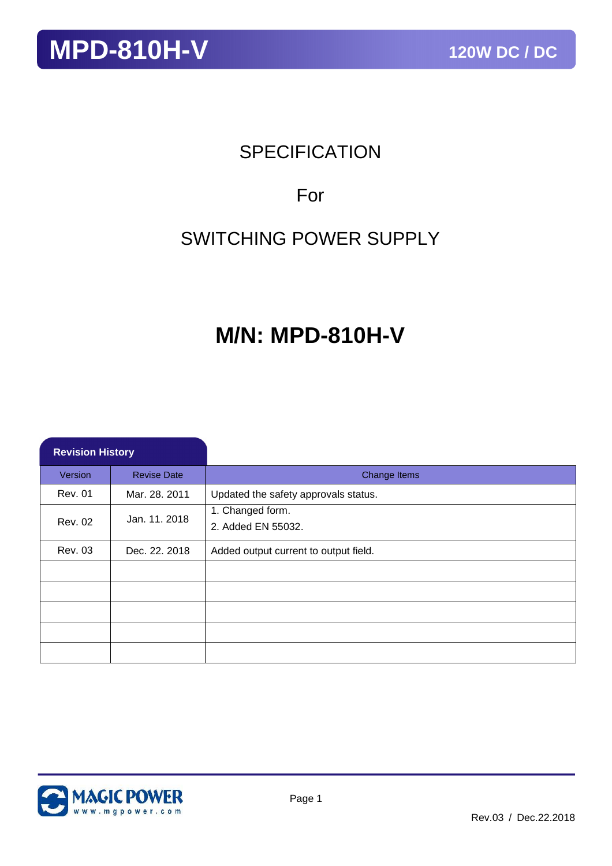### **SPECIFICATION**

### For

### SWITCHING POWER SUPPLY

### **M/N: MPD-810H-V**

| <b>Revision History</b> |                    |                                        |
|-------------------------|--------------------|----------------------------------------|
| Version                 | <b>Revise Date</b> | Change Items                           |
| <b>Rev. 01</b>          | Mar. 28. 2011      | Updated the safety approvals status.   |
| <b>Rev. 02</b>          | Jan. 11. 2018      | 1. Changed form.<br>2. Added EN 55032. |
| <b>Rev. 03</b>          | Dec. 22. 2018      | Added output current to output field.  |
|                         |                    |                                        |
|                         |                    |                                        |
|                         |                    |                                        |
|                         |                    |                                        |
|                         |                    |                                        |

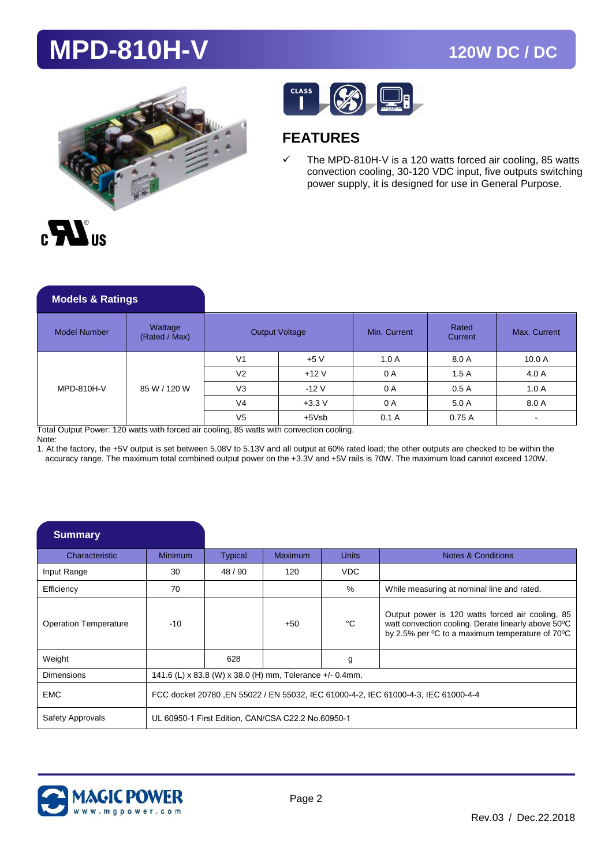



### **FEATURES**

 $\checkmark$  The MPD-810H-V is a 120 watts forced air cooling, 85 watts convection cooling, 30-120 VDC input, five outputs switching power supply, it is designed for use in General Purpose.

| <b>Models &amp; Ratings</b> |                          |                |                       |              |                  |              |
|-----------------------------|--------------------------|----------------|-----------------------|--------------|------------------|--------------|
| <b>Model Number</b>         | Wattage<br>(Rated / Max) |                | <b>Output Voltage</b> | Min. Current | Rated<br>Current | Max. Current |
| MPD-810H-V                  | 85 W / 120 W             | V <sub>1</sub> | $+5V$                 | 1.0A         | 8.0 A            | 10.0 A       |
|                             |                          | V <sub>2</sub> | $+12V$                | 0 A          | 1.5A             | 4.0 A        |
|                             |                          | V <sub>3</sub> | $-12V$                | 0 A          | 0.5A             | 1.0A         |
|                             |                          | V <sub>4</sub> | $+3.3V$               | 0 A          | 5.0 A            | 8.0 A        |
|                             |                          | V <sub>5</sub> | $+5Vsb$               | 0.1A         | 0.75A            |              |

Total Output Power: 120 watts with forced air cooling, 85 watts with convection cooling.

Note:

1. At the factory, the +5V output is set between 5.08V to 5.13V and all output at 60% rated load; the other outputs are checked to be within the accuracy range. The maximum total combined output power on the +3.3V and +5V rails is 70W. The maximum load cannot exceed 120W.

| <b>Summary</b>               |                |                                                                                     |                                                    |              |                                                                                                                                                            |  |  |
|------------------------------|----------------|-------------------------------------------------------------------------------------|----------------------------------------------------|--------------|------------------------------------------------------------------------------------------------------------------------------------------------------------|--|--|
| Characteristic               | <b>Minimum</b> | <b>Typical</b>                                                                      | Maximum                                            | <b>Units</b> | Notes & Conditions                                                                                                                                         |  |  |
| Input Range                  | 30             | 48/90                                                                               | 120                                                | VDC.         |                                                                                                                                                            |  |  |
| Efficiency                   | 70             |                                                                                     |                                                    | $\%$         | While measuring at nominal line and rated.                                                                                                                 |  |  |
| <b>Operation Temperature</b> | $-10$          |                                                                                     | $+50$                                              | °C           | Output power is 120 watts forced air cooling, 85<br>watt convection cooling. Derate linearly above 50°C<br>by 2.5% per °C to a maximum temperature of 70°C |  |  |
| Weight                       |                | 628                                                                                 |                                                    | g            |                                                                                                                                                            |  |  |
| <b>Dimensions</b>            |                | 141.6 (L) x 83.8 (W) x 38.0 (H) mm, Tolerance +/- 0.4mm.                            |                                                    |              |                                                                                                                                                            |  |  |
| <b>EMC</b>                   |                | FCC docket 20780 , EN 55022 / EN 55032, IEC 61000-4-2, IEC 61000-4-3, IEC 61000-4-4 |                                                    |              |                                                                                                                                                            |  |  |
| Safety Approvals             |                |                                                                                     | UL 60950-1 First Edition, CAN/CSA C22.2 No.60950-1 |              |                                                                                                                                                            |  |  |

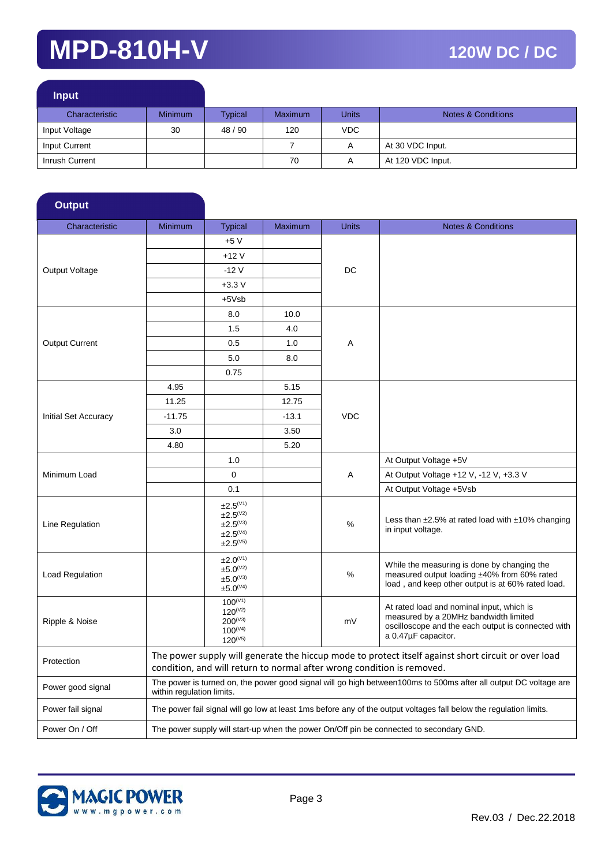| <b>Input</b>   |                |         |                |              |                               |
|----------------|----------------|---------|----------------|--------------|-------------------------------|
| Characteristic | <b>Minimum</b> | Typical | <b>Maximum</b> | <b>Units</b> | <b>Notes &amp; Conditions</b> |
| Input Voltage  | 30             | 48 / 90 | 120            | VDC.         |                               |
| Input Current  |                |         |                | A            | At 30 VDC Input.              |
| Inrush Current |                |         | 70             | $\mathsf{A}$ | At 120 VDC Input.             |

| <b>Output</b>               |                           |                                                                                          |                |              |                                                                                                                                                                               |
|-----------------------------|---------------------------|------------------------------------------------------------------------------------------|----------------|--------------|-------------------------------------------------------------------------------------------------------------------------------------------------------------------------------|
| Characteristic              | <b>Minimum</b>            | <b>Typical</b>                                                                           | <b>Maximum</b> | <b>Units</b> | <b>Notes &amp; Conditions</b>                                                                                                                                                 |
|                             |                           | +5 V                                                                                     |                |              |                                                                                                                                                                               |
|                             |                           | $+12V$                                                                                   |                |              |                                                                                                                                                                               |
| Output Voltage              |                           | $-12V$                                                                                   |                | DC           |                                                                                                                                                                               |
|                             |                           | $+3.3V$                                                                                  |                |              |                                                                                                                                                                               |
|                             |                           | $+5Vsb$<br>10.0<br>8.0                                                                   |                |              |                                                                                                                                                                               |
|                             |                           |                                                                                          |                |              |                                                                                                                                                                               |
| <b>Output Current</b>       |                           | 1.5                                                                                      | 4.0            |              |                                                                                                                                                                               |
|                             |                           | 0.5                                                                                      | 1.0            | Α            |                                                                                                                                                                               |
|                             |                           | 5.0                                                                                      | 8.0            |              |                                                                                                                                                                               |
|                             |                           | 0.75                                                                                     |                |              |                                                                                                                                                                               |
|                             | 4.95                      |                                                                                          | 5.15           |              |                                                                                                                                                                               |
|                             | 11.25                     |                                                                                          | 12.75          |              |                                                                                                                                                                               |
| <b>Initial Set Accuracy</b> | $-11.75$                  |                                                                                          | $-13.1$        | <b>VDC</b>   |                                                                                                                                                                               |
|                             | 3.0                       |                                                                                          | 3.50           |              |                                                                                                                                                                               |
|                             | 4.80                      |                                                                                          | 5.20           |              |                                                                                                                                                                               |
| Minimum Load                |                           | 1.0                                                                                      |                | Α            | At Output Voltage +5V                                                                                                                                                         |
|                             |                           | $\mathbf 0$                                                                              |                |              | At Output Voltage +12 V, -12 V, +3.3 V                                                                                                                                        |
|                             |                           | 0.1                                                                                      |                |              | At Output Voltage +5Vsb                                                                                                                                                       |
| Line Regulation             |                           | ±2.5 <sup>(V1)</sup><br>$±2.5^{(V2)}$<br>$±2.5^{(V3)}$<br>$±2.5^{(V4)}$<br>$±2.5^{(V5)}$ |                | %            | Less than $\pm 2.5\%$ at rated load with $\pm 10\%$ changing<br>in input voltage.                                                                                             |
| Load Regulation             |                           | $\pm 2.0^{(V1)}$<br>$±5.0^{(V2)}$<br>$±5.0^{(V3)}$<br>$±5.0^{(V4)}$                      |                | %            | While the measuring is done by changing the<br>measured output loading ±40% from 60% rated<br>load, and keep other output is at 60% rated load.                               |
| Ripple & Noise              |                           | $100^{(V1)}$<br>$120^{(V2)}$<br>$200^{(V3)}$<br>$100^{(V4)}$<br>$120^{(V5)}$             |                | mV           | At rated load and nominal input, which is<br>measured by a 20MHz bandwidth limited<br>oscilloscope and the each output is connected with<br>a 0.47µF capacitor.               |
| Protection                  |                           |                                                                                          |                |              | The power supply will generate the hiccup mode to protect itself against short circuit or over load<br>condition, and will return to normal after wrong condition is removed. |
| Power good signal           | within regulation limits. |                                                                                          |                |              | The power is turned on, the power good signal will go high between100ms to 500ms after all output DC voltage are                                                              |
| Power fail signal           |                           |                                                                                          |                |              | The power fail signal will go low at least 1ms before any of the output voltages fall below the regulation limits.                                                            |
| Power On / Off              |                           |                                                                                          |                |              | The power supply will start-up when the power On/Off pin be connected to secondary GND.                                                                                       |

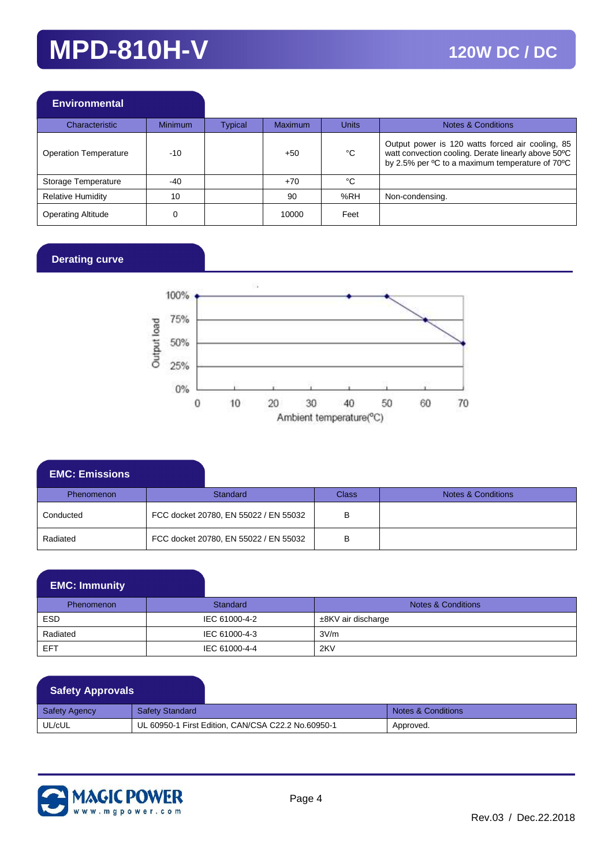| <b>Environmental</b>         |                |         |                |       |                                                                                                                                                                        |
|------------------------------|----------------|---------|----------------|-------|------------------------------------------------------------------------------------------------------------------------------------------------------------------------|
| Characteristic               | <b>Minimum</b> | Typical | <b>Maximum</b> | Units | <b>Notes &amp; Conditions</b>                                                                                                                                          |
| <b>Operation Temperature</b> | $-10$          |         | $+50$          | °C    | Output power is 120 watts forced air cooling, 85<br>watt convection cooling. Derate linearly above 50°C<br>by 2.5% per <sup>o</sup> C to a maximum temperature of 70°C |
| Storage Temperature          | $-40$          |         | $+70$          | °C    |                                                                                                                                                                        |
| <b>Relative Humidity</b>     | 10             |         | 90             | %RH   | Non-condensing.                                                                                                                                                        |
| <b>Operating Altitude</b>    | C              |         | 10000          | Feet  |                                                                                                                                                                        |

#### **Derating curve**



| <b>EMC: Emissions</b> |                                       |                                       |              |                               |
|-----------------------|---------------------------------------|---------------------------------------|--------------|-------------------------------|
| <b>Phenomenon</b>     | <b>Standard</b>                       |                                       | <b>Class</b> | <b>Notes &amp; Conditions</b> |
| Conducted             | FCC docket 20780, EN 55022 / EN 55032 |                                       | в            |                               |
| Radiated              |                                       | FCC docket 20780, EN 55022 / EN 55032 | в            |                               |

| <b>EMC: Immunity</b> |
|----------------------|
|                      |

| <b>Phenomenon</b> | Standard      | <b>Notes &amp; Conditions</b> |
|-------------------|---------------|-------------------------------|
| ESD               | IEC 61000-4-2 | $±8$ KV air discharge         |
| Radiated          | IEC 61000-4-3 | 3V/m                          |
| EFT               | IEC 61000-4-4 | 2KV                           |

### **Safety Approvals**

| Safety Agency | <b>Safety Standard</b>                             | Notes & Conditions |
|---------------|----------------------------------------------------|--------------------|
| UL/cUL        | UL 60950-1 First Edition, CAN/CSA C22.2 No.60950-1 | Approved.          |

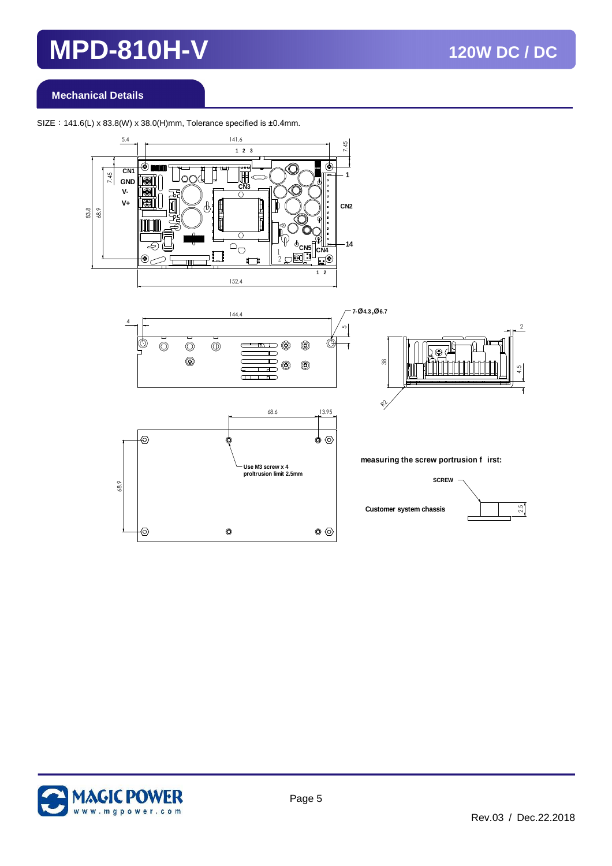#### **Mechanical Details**

SIZE: 141.6(L) x 83.8(W) x 38.0(H)mm, Tolerance specified is  $\pm 0.4$ mm.





 $\bullet$ 



**measuring the screw portrusion f irst:**





⊕

 $\circledcirc$